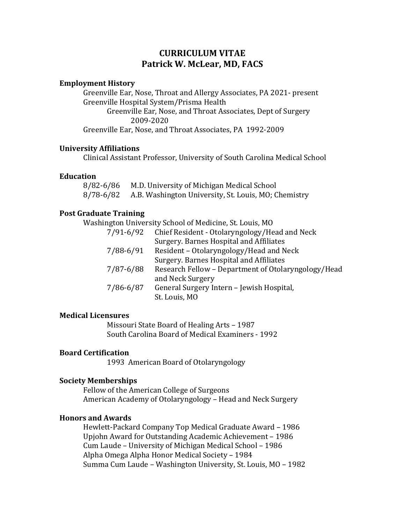# **CURRICULUM VITAE Patrick W. McLear, MD, FACS**

## **Employment History**

Greenville Ear, Nose, Throat and Allergy Associates, PA 2021- present Greenville Hospital System/Prisma Health Greenville Ear, Nose, and Throat Associates, Dept of Surgery 2009-2020 Greenville Ear, Nose, and Throat Associates, PA 1992-2009

#### **University Affiliations**

Clinical Assistant Professor, University of South Carolina Medical School

#### **Education**

8/82-6/86 M.D. University of Michigan Medical School<br>8/78-6/82 A.B. Washington University, St. Louis, MO; C A.B. Washington University, St. Louis, MO; Chemistry

## **Post Graduate Training**

Washington University School of Medicine, St. Louis, MO

| $7/91 - 6/92$ | Chief Resident - Otolaryngology/Head and Neck       |
|---------------|-----------------------------------------------------|
|               | Surgery. Barnes Hospital and Affiliates             |
| 7/88-6/91     | Resident – Otolaryngology/Head and Neck             |
|               | Surgery. Barnes Hospital and Affiliates             |
| 7/87-6/88     | Research Fellow - Department of Otolaryngology/Head |
|               | and Neck Surgery                                    |
| 7/86-6/87     | General Surgery Intern - Jewish Hospital,           |
|               | St. Louis, MO                                       |
|               |                                                     |

#### **Medical Licensures**

Missouri State Board of Healing Arts – 1987 South Carolina Board of Medical Examiners - 1992

## **Board Certification**

1993 American Board of Otolaryngology

#### **Society Memberships**

Fellow of the American College of Surgeons American Academy of Otolaryngology – Head and Neck Surgery

## **Honors and Awards**

Hewlett-Packard Company Top Medical Graduate Award – 1986 Upjohn Award for Outstanding Academic Achievement – 1986 Cum Laude – University of Michigan Medical School – 1986 Alpha Omega Alpha Honor Medical Society – 1984 Summa Cum Laude – Washington University, St. Louis, MO – 1982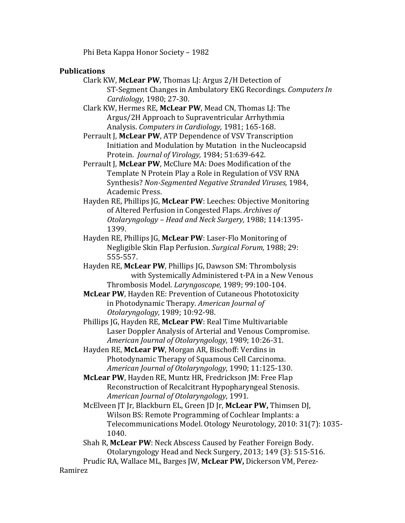Phi Beta Kappa Honor Society – 1982

## **Publications**

- Clark KW, **McLear PW**, Thomas LJ: Argus 2/H Detection of ST-Segment Changes in Ambulatory EKG Recordings. *Computers In Cardiology,* 1980; 27-30.
- Clark KW, Hermes RE, **McLear PW**, Mead CN, Thomas LJ: The Argus/2H Approach to Supraventricular Arrhythmia Analysis. *Computers in Cardiology,* 1981; 165-168.
- Perrault J, McLear PW, ATP Dependence of VSV Transcription Initiation and Modulation by Mutation in the Nucleocapsid Protein. *Journal of Virology,* 1984; 51:639-642.
- Perrault J. McLear PW, McClure MA: Does Modification of the Template N Protein Play a Role in Regulation of VSV RNA Synthesis? *Non-Segmented Negative Stranded Viruses,* 1984, Academic Press.
- Hayden RE, Phillips JG, **McLear PW**: Leeches: Objective Monitoring of Altered Perfusion in Congested Flaps. *Archives of Otolaryngology – Head and Neck Surgery,* 1988; 114:1395- 1399.
- Hayden RE, Phillips JG, **McLear PW**: Laser-Flo Monitoring of Negligible Skin Flap Perfusion. *Surgical Forum,* 1988; 29: 555-557.
- Hayden RE, **McLear PW**, Phillips JG, Dawson SM: Thrombolysis with Systemically Administered t-PA in a New Venous Thrombosis Model. *Laryngoscope,* 1989; 99:100-104.
- **McLear PW**, Hayden RE: Prevention of Cutaneous Phototoxicity in Photodynamic Therapy. *American Journal of Otolaryngology,* 1989; 10:92-98.
- Phillips JG, Hayden RE, **McLear PW**: Real Time Multivariable Laser Doppler Analysis of Arterial and Venous Compromise. *American Journal of Otolaryngology,* 1989; 10:26-31.
- Hayden RE, **McLear PW**, Morgan AR, Bischoff: Verdins in Photodynamic Therapy of Squamous Cell Carcinoma. *American Journal of Otolaryngology,* 1990; 11:125-130.
- **McLear PW**, Hayden RE, Muntz HR, Fredrickson JM: Free Flap Reconstruction of Recalcitrant Hypopharyngeal Stenosis. *American Journal of Otolaryngology,* 1991.
- McElveen JT Jr, Blackburn EL, Green JD Jr, **McLear PW,** Thimsen DJ, Wilson BS: Remote Programming of Cochlear Implants: a Telecommunications Model. Otology Neurotology, 2010: 31(7): 1035- 1040.
- Shah R, **McLear PW**: Neck Abscess Caused by Feather Foreign Body. Otolaryngology Head and Neck Surgery, 2013; 149 (3): 515-516.
- Prudic RA, Wallace ML, Barges JW, **McLear PW,** Dickerson VM, Perez-

Ramirez